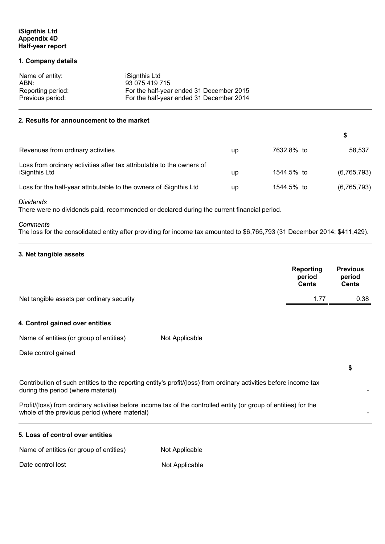# **iSignthis Ltd Appendix 4D Half-year report**

#### **1. Company details**

| Name of entity:   | iSignthis Ltd                            |
|-------------------|------------------------------------------|
| ABN:              | 93 075 419 715                           |
| Reporting period: | For the half-year ended 31 December 2015 |
| Previous period:  | For the half-year ended 31 December 2014 |

#### **2. Results for announcement to the market**

| Revenues from ordinary activities                                                      | up | 7632.8% to | 58.537      |
|----------------------------------------------------------------------------------------|----|------------|-------------|
| Loss from ordinary activities after tax attributable to the owners of<br>iSignthis Ltd | up | 1544.5% to | (6,765,793) |
| Loss for the half-year attributable to the owners of iSignthis Ltd                     | up | 1544.5% to | (6,765,793) |

**\$** 

**\$** 

*Dividends* 

There were no dividends paid, recommended or declared during the current financial period.

# *Comments*

The loss for the consolidated entity after providing for income tax amounted to \$6,765,793 (31 December 2014: \$411,429).

# **3. Net tangible assets**

|                                           | Reporting<br>period<br><b>Cents</b> | <b>Previous</b><br>period<br>Cents |
|-------------------------------------------|-------------------------------------|------------------------------------|
| Net tangible assets per ordinary security | 1.77                                | 0.38                               |

# **4. Control gained over entities**

Name of entities (or group of entities) Not Applicable

Date control gained

Contribution of such entities to the reporting entity's profit/(loss) from ordinary activities before income tax during the period (where material)

Profit/(loss) from ordinary activities before income tax of the controlled entity (or group of entities) for the whole of the previous period (where material)

| 5. Loss of control over entities        |                |
|-----------------------------------------|----------------|
| Name of entities (or group of entities) | Not Applicable |
| Date control lost                       | Not Applicable |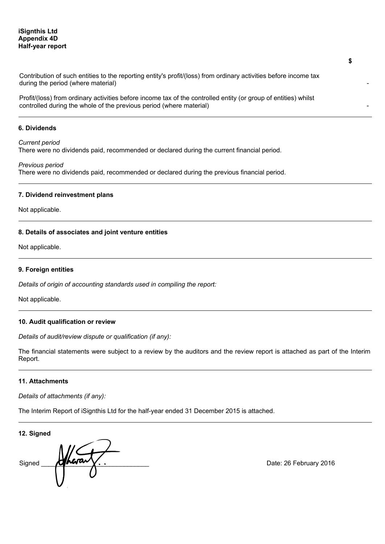# **iSignthis Ltd Appendix 4D Half-year report**

Contribution of such entities to the reporting entity's profit/(loss) from ordinary activities before income tax during the period (where material)

Profit/(loss) from ordinary activities before income tax of the controlled entity (or group of entities) whilst controlled during the whole of the previous period (where material)

#### **6. Dividends**

#### *Current period*

There were no dividends paid, recommended or declared during the current financial period.

#### *Previous period*

There were no dividends paid, recommended or declared during the previous financial period.

#### **7. Dividend reinvestment plans**

Not applicable.

#### **8. Details of associates and joint venture entities**

Not applicable.

#### **9. Foreign entities**

*Details of origin of accounting standards used in compiling the report:* 

Not applicable.

# **10. Audit qualification or review**

*Details of audit/review dispute or qualification (if any):* 

The financial statements were subject to a review by the auditors and the review report is attached as part of the Interim Report.

# **11. Attachments**

*Details of attachments (if any):* 

The Interim Report of iSignthis Ltd for the half-year ended 31 December 2015 is attached.

**12. Signed** 

Signed **Heraux**.

**\$**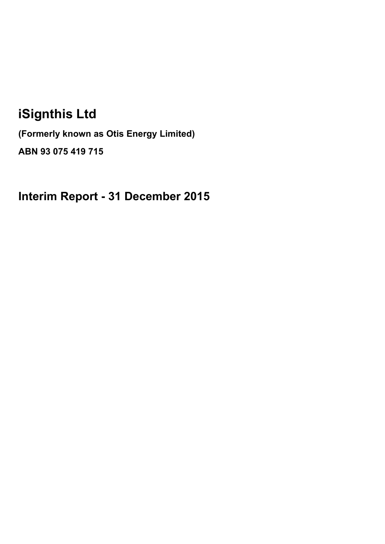# **iSignthis Ltd**

**(Formerly known as Otis Energy Limited) ABN 93 075 419 715**

**Interim Report - 31 December 2015**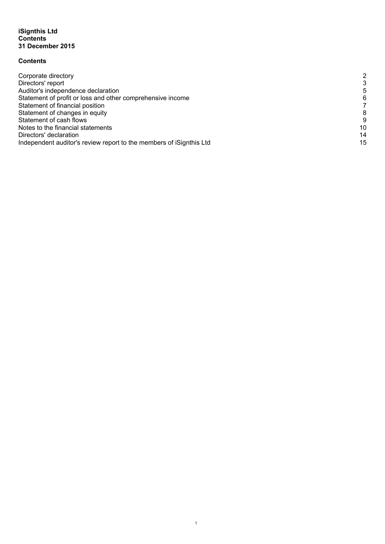# **Contents**

| 2  |
|----|
| 3  |
|    |
| 6  |
|    |
| 8  |
| 9  |
| 10 |
| 14 |
| 15 |
|    |

 1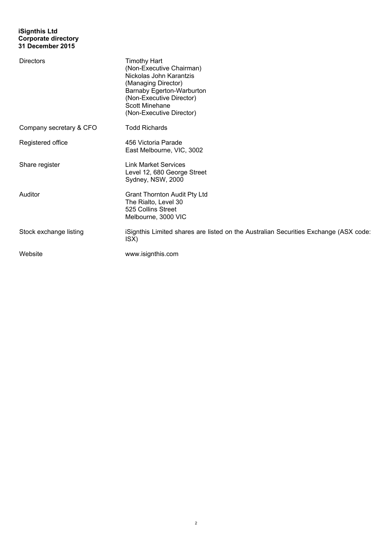# **iSignthis Ltd Corporate directory 31 December 2015**

| <b>Directors</b>        | <b>Timothy Hart</b><br>(Non-Executive Chairman)<br>Nickolas John Karantzis<br>(Managing Director)<br>Barnaby Egerton-Warburton<br>(Non-Executive Director)<br><b>Scott Minehane</b><br>(Non-Executive Director) |
|-------------------------|-----------------------------------------------------------------------------------------------------------------------------------------------------------------------------------------------------------------|
| Company secretary & CFO | <b>Todd Richards</b>                                                                                                                                                                                            |
| Registered office       | 456 Victoria Parade<br>East Melbourne, VIC, 3002                                                                                                                                                                |
| Share register          | <b>Link Market Services</b><br>Level 12, 680 George Street<br>Sydney, NSW, 2000                                                                                                                                 |
| Auditor                 | <b>Grant Thornton Audit Pty Ltd</b><br>The Rialto, Level 30<br>525 Collins Street<br>Melbourne, 3000 VIC                                                                                                        |
| Stock exchange listing  | iSignthis Limited shares are listed on the Australian Securities Exchange (ASX code:<br>ISX)                                                                                                                    |
| Website                 | www.isignthis.com                                                                                                                                                                                               |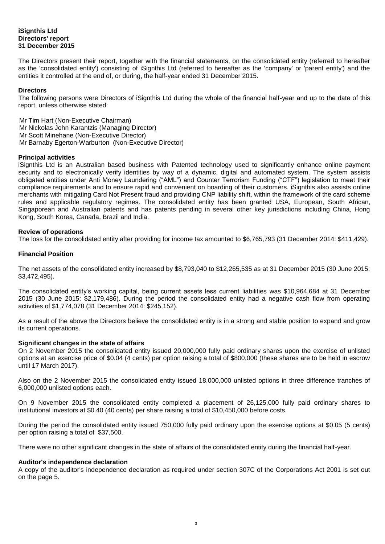# **iSignthis Ltd Directors' report 31 December 2015**

The Directors present their report, together with the financial statements, on the consolidated entity (referred to hereafter as the 'consolidated entity') consisting of iSignthis Ltd (referred to hereafter as the 'company' or 'parent entity') and the entities it controlled at the end of, or during, the half-year ended 31 December 2015.

#### **Directors**

The following persons were Directors of iSignthis Ltd during the whole of the financial half-year and up to the date of this report, unless otherwise stated:

Mr Tim Hart (Non-Executive Chairman) Mr Nickolas John Karantzis (Managing Director) Mr Scott Minehane (Non-Executive Director) Mr Barnaby Egerton-Warburton (Non-Executive Director)

#### **Principal activities**

iSignthis Ltd is an Australian based business with Patented technology used to significantly enhance online payment security and to electronically verify identities by way of a dynamic, digital and automated system. The system assists obligated entities under Anti Money Laundering ("AML") and Counter Terrorism Funding ("CTF") legislation to meet their compliance requirements and to ensure rapid and convenient on boarding of their customers. iSignthis also assists online merchants with mitigating Card Not Present fraud and providing CNP liability shift, within the framework of the card scheme rules and applicable regulatory regimes. The consolidated entity has been granted USA, European, South African, Singaporean and Australian patents and has patents pending in several other key jurisdictions including China, Hong Kong, South Korea, Canada, Brazil and India.

# **Review of operations**

The loss for the consolidated entity after providing for income tax amounted to \$6,765,793 (31 December 2014: \$411,429).

# **Financial Position**

The net assets of the consolidated entity increased by \$8,793,040 to \$12,265,535 as at 31 December 2015 (30 June 2015: \$3,472,495).

The consolidated entity's working capital, being current assets less current liabilities was \$10,964,684 at 31 December 2015 (30 June 2015: \$2,179,486). During the period the consolidated entity had a negative cash flow from operating activities of \$1,774,078 (31 December 2014: \$245,152).

As a result of the above the Directors believe the consolidated entity is in a strong and stable position to expand and grow its current operations.

#### **Significant changes in the state of affairs**

On 2 November 2015 the consolidated entity issued 20,000,000 fully paid ordinary shares upon the exercise of unlisted options at an exercise price of \$0.04 (4 cents) per option raising a total of \$800,000 (these shares are to be held in escrow until 17 March 2017).

Also on the 2 November 2015 the consolidated entity issued 18,000,000 unlisted options in three difference tranches of 6,000,000 unlisted options each.

On 9 November 2015 the consolidated entity completed a placement of 26,125,000 fully paid ordinary shares to institutional investors at \$0.40 (40 cents) per share raising a total of \$10,450,000 before costs.

During the period the consolidated entity issued 750,000 fully paid ordinary upon the exercise options at \$0.05 (5 cents) per option raising a total of \$37,500.

There were no other significant changes in the state of affairs of the consolidated entity during the financial half-year.

#### **Auditor's independence declaration**

A copy of the auditor's independence declaration as required under section 307C of the Corporations Act 2001 is set out on the page 5.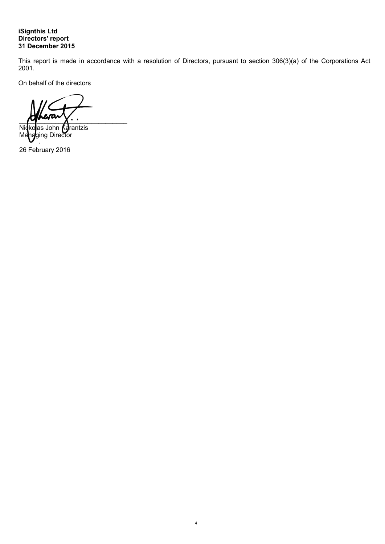# **iSignthis Ltd Directors' report 31 December 2015**

This report is made in accordance with a resolution of Directors, pursuant to section 306(3)(a) of the Corporations Act 2001.

 4

On behalf of the directors

 $\sim$   $\sim$   $\sim$   $\sim$   $\sim$ 

Nicko**l**as John **Ka**rantzis Managing Director

26 February 2016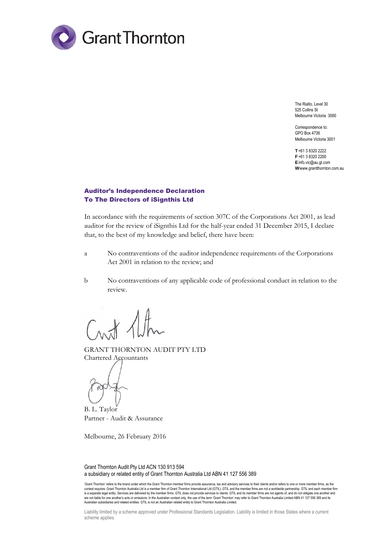

The Rialto, Level 30 525 Collins St Melbourne Victoria 3000

Correspondence to: GPO Box 4736 Melbourne Victoria 3001

**T** +61 3 8320 2222 **F** +61 3 8320 2200 **E** info.vic@au.gt.com **W** www.grantthornton.com.au

# Auditor's Independence Declaration To The Directors of iSignthis Ltd

In accordance with the requirements of section 307C of the Corporations Act 2001, as lead auditor for the review of iSignthis Ltd for the half-year ended 31 December 2015, I declare that, to the best of my knowledge and belief, there have been:

- a No contraventions of the auditor independence requirements of the Corporations Act 2001 in relation to the review; and
- b No contraventions of any applicable code of professional conduct in relation to the review.

GRANT THORNTON AUDIT PTY LTD Chartered Accountants

B. L. Taylor Partner - Audit & Assurance

Melbourne, 26 February 2016

Grant Thornton Audit Pty Ltd ACN 130 913 594 a subsidiary or related entity of Grant Thornton Australia Ltd ABN 41 127 556 389

'Grant Thornton' refers to the brand under which the Grant Thornton member firms provide assurance, tax and advisory services to their clients and/or refers to one or more member firms, as the context requires. Grant Thornton Australia Ltd is a member firm of Grant Thomton International Ltd (GTIL). GTIL and the member firms are not a worldwide partnership. GTIL and each member firm<br>is a separate legal entity. Se are not liable for one another's acts or omissions. In the Australian context only, the use of the term 'Grant Thornton' may refer to Grant Thornton Australia Limited ABN 41 127 556 389 and its<br>Australian subsidiaries and

Liability limited by a scheme approved under Professional Standards Legislation. Liability is limited in those States where a current scheme applies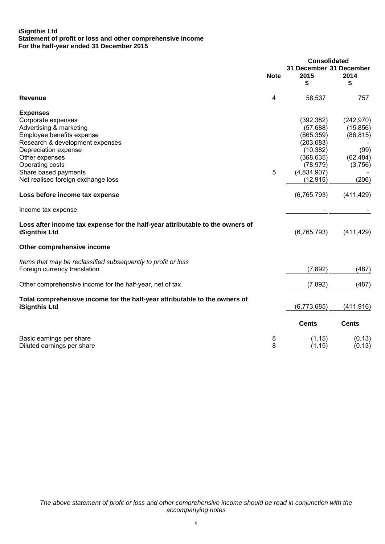# **iSignthis Ltd Statement of profit or loss and other comprehensive income For the half-year ended 31 December 2015**

|                                                                                                                                                                                                                                                             |             | <b>Consolidated</b>                                                                                                     |                                                                               |
|-------------------------------------------------------------------------------------------------------------------------------------------------------------------------------------------------------------------------------------------------------------|-------------|-------------------------------------------------------------------------------------------------------------------------|-------------------------------------------------------------------------------|
|                                                                                                                                                                                                                                                             | <b>Note</b> | 31 December 31 December<br>2015<br>\$                                                                                   | 2014<br>\$                                                                    |
| Revenue                                                                                                                                                                                                                                                     | 4           | 58,537                                                                                                                  | 757                                                                           |
| <b>Expenses</b><br>Corporate expenses<br>Advertising & marketing<br>Employee benefits expense<br>Research & development expenses<br>Depreciation expense<br>Other expenses<br>Operating costs<br>Share based payments<br>Net realised foreign exchange loss | 5           | (392, 382)<br>(57, 688)<br>(865, 359)<br>(203, 083)<br>(10, 382)<br>(368, 635)<br>(78, 979)<br>(4,834,907)<br>(12, 915) | (242, 970)<br>(15, 856)<br>(86, 815)<br>(99)<br>(62, 484)<br>(3,756)<br>(206) |
| Loss before income tax expense                                                                                                                                                                                                                              |             | (6, 765, 793)                                                                                                           | (411, 429)                                                                    |
| Income tax expense                                                                                                                                                                                                                                          |             |                                                                                                                         |                                                                               |
| Loss after income tax expense for the half-year attributable to the owners of<br>iSignthis Ltd                                                                                                                                                              |             | (6, 765, 793)                                                                                                           | (411, 429)                                                                    |
| Other comprehensive income                                                                                                                                                                                                                                  |             |                                                                                                                         |                                                                               |
| Items that may be reclassified subsequently to profit or loss<br>Foreign currency translation                                                                                                                                                               |             | (7, 892)                                                                                                                | (487)                                                                         |
| Other comprehensive income for the half-year, net of tax                                                                                                                                                                                                    |             | (7, 892)                                                                                                                | (487)                                                                         |
| Total comprehensive income for the half-year attributable to the owners of<br><b>iSignthis Ltd</b>                                                                                                                                                          |             | (6,773,685)                                                                                                             | (411, 916)                                                                    |
|                                                                                                                                                                                                                                                             |             | <b>Cents</b>                                                                                                            | <b>Cents</b>                                                                  |
| Basic earnings per share<br>Diluted earnings per share                                                                                                                                                                                                      | 8<br>8      | (1.15)<br>(1.15)                                                                                                        | (0.13)<br>(0.13)                                                              |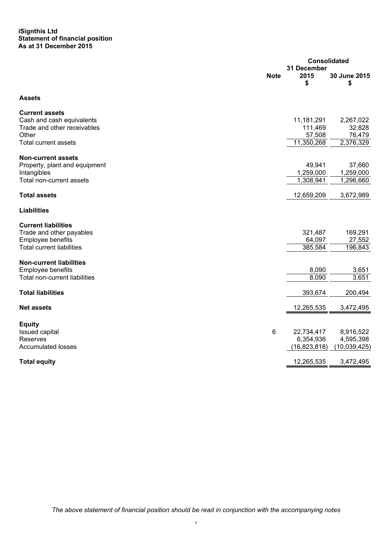# **iSignthis Ltd Statement of financial position As at 31 December 2015**

|                                                            |                |                   | <b>Consolidated</b> |  |
|------------------------------------------------------------|----------------|-------------------|---------------------|--|
|                                                            | 31 December    |                   |                     |  |
|                                                            | <b>Note</b>    | 2015<br>\$        | 30 June 2015<br>\$  |  |
| <b>Assets</b>                                              |                |                   |                     |  |
| <b>Current assets</b>                                      |                |                   |                     |  |
| Cash and cash equivalents                                  |                | 11,181,291        | 2,267,022           |  |
| Trade and other receivables<br>Other                       |                | 111,469<br>57,508 | 32,828<br>76,479    |  |
| <b>Total current assets</b>                                |                | 11,350,268        | 2,376,329           |  |
|                                                            |                |                   |                     |  |
| <b>Non-current assets</b><br>Property, plant and equipment |                | 49,941            | 37,660              |  |
| Intangibles                                                |                | 1,259,000         | 1,259,000           |  |
| Total non-current assets                                   |                | 1,308,941         | 1,296,660           |  |
| <b>Total assets</b>                                        |                | 12,659,209        | 3,672,989           |  |
|                                                            |                |                   |                     |  |
| <b>Liabilities</b>                                         |                |                   |                     |  |
| <b>Current liabilities</b>                                 |                |                   |                     |  |
| Trade and other payables                                   |                | 321,487           | 169,291             |  |
| Employee benefits                                          |                | 64,097            | 27,552              |  |
| <b>Total current liabilities</b>                           |                | 385,584           | 196,843             |  |
| <b>Non-current liabilities</b>                             |                |                   |                     |  |
| Employee benefits                                          |                | 8,090             | 3,651               |  |
| Total non-current liabilities                              |                | 8,090             | 3,651               |  |
| <b>Total liabilities</b>                                   |                | 393,674           | 200,494             |  |
|                                                            |                |                   |                     |  |
| <b>Net assets</b>                                          |                | 12,265,535        | 3,472,495           |  |
| <b>Equity</b>                                              |                |                   |                     |  |
| Issued capital                                             | $6\phantom{1}$ | 22,734,417        | 8,916,522           |  |
| Reserves                                                   |                | 6,354,936         | 4,595,398           |  |
| <b>Accumulated losses</b>                                  |                | (16, 823, 818)    | (10,039,425)        |  |
| <b>Total equity</b>                                        |                | 12,265,535        | 3,472,495           |  |
|                                                            |                |                   |                     |  |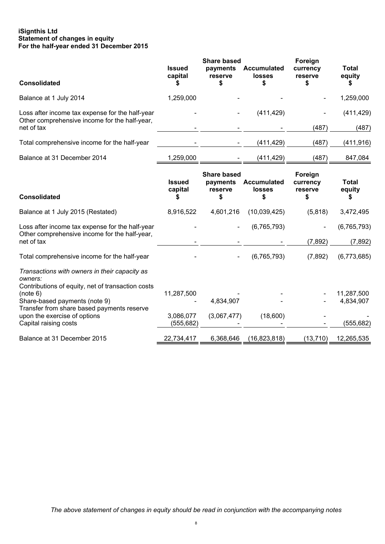# **iSignthis Ltd Statement of changes in equity For the half-year ended 31 December 2015**

| <b>Consolidated</b>                                                                                                                                                                                                                                               | <b>Issued</b><br>capital              | <b>Share based</b><br>payments<br>reserve<br>\$ | <b>Accumulated</b><br><b>losses</b> | Foreign<br>currency<br>reserve | <b>Total</b><br>equity<br>S           |
|-------------------------------------------------------------------------------------------------------------------------------------------------------------------------------------------------------------------------------------------------------------------|---------------------------------------|-------------------------------------------------|-------------------------------------|--------------------------------|---------------------------------------|
| Balance at 1 July 2014                                                                                                                                                                                                                                            | 1,259,000                             |                                                 |                                     |                                | 1,259,000                             |
| Loss after income tax expense for the half-year<br>Other comprehensive income for the half-year,<br>net of tax                                                                                                                                                    |                                       |                                                 | (411, 429)                          | (487)                          | (411, 429)<br>(487)                   |
| Total comprehensive income for the half-year                                                                                                                                                                                                                      |                                       |                                                 | (411, 429)                          | (487)                          | (411,916)                             |
| Balance at 31 December 2014                                                                                                                                                                                                                                       | 1,259,000                             |                                                 | (411, 429)                          | (487)                          | 847,084                               |
| <b>Consolidated</b>                                                                                                                                                                                                                                               | <b>Issued</b><br>capital              | <b>Share based</b><br>payments<br>reserve<br>S  | <b>Accumulated</b><br>losses<br>\$  | Foreign<br>currency<br>reserve | <b>Total</b><br>equity<br>\$          |
| Balance at 1 July 2015 (Restated)                                                                                                                                                                                                                                 | 8,916,522                             | 4,601,216                                       | (10,039,425)                        | (5,818)                        | 3,472,495                             |
| Loss after income tax expense for the half-year<br>Other comprehensive income for the half-year,<br>net of tax                                                                                                                                                    |                                       |                                                 | (6, 765, 793)                       | (7, 892)                       | (6,765,793)<br>(7, 892)               |
| Total comprehensive income for the half-year                                                                                                                                                                                                                      |                                       |                                                 | (6,765,793)                         | (7,892)                        | (6,773,685)                           |
| Transactions with owners in their capacity as<br>owners:<br>Contributions of equity, net of transaction costs<br>(note 6)<br>Share-based payments (note 9)<br>Transfer from share based payments reserve<br>upon the exercise of options<br>Capital raising costs | 11,287,500<br>3,086,077<br>(555, 682) | 4,834,907<br>(3,067,477)                        | (18,600)                            |                                | 11,287,500<br>4,834,907<br>(555, 682) |
| Balance at 31 December 2015                                                                                                                                                                                                                                       | 22,734,417                            | 6,368,646                                       | (16, 823, 818)                      | (13, 710)                      | 12,265,535                            |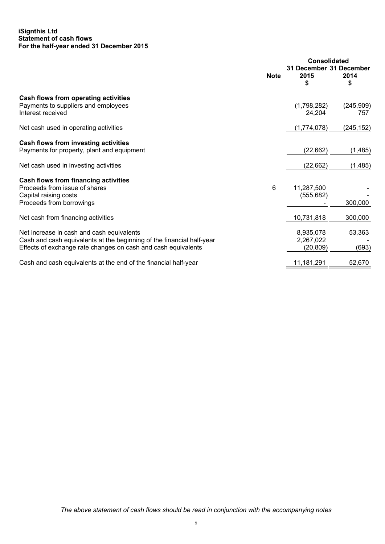# **iSignthis Ltd Statement of cash flows For the half-year ended 31 December 2015**

|                                                                                                                                                                                     | <b>Note</b> | <b>Consolidated</b><br>31 December 31 December<br>2015<br>\$ | 2014<br>\$       |
|-------------------------------------------------------------------------------------------------------------------------------------------------------------------------------------|-------------|--------------------------------------------------------------|------------------|
| Cash flows from operating activities<br>Payments to suppliers and employees<br>Interest received                                                                                    |             | (1,798,282)<br>24,204                                        | (245,909)<br>757 |
| Net cash used in operating activities                                                                                                                                               |             | (1,774,078)                                                  | (245, 152)       |
| Cash flows from investing activities<br>Payments for property, plant and equipment                                                                                                  |             | (22, 662)                                                    | (1, 485)         |
| Net cash used in investing activities                                                                                                                                               |             | (22, 662)                                                    | (1, 485)         |
| Cash flows from financing activities<br>Proceeds from issue of shares<br>Capital raising costs<br>Proceeds from borrowings                                                          | 6           | 11,287,500<br>(555, 682)                                     | 300,000          |
| Net cash from financing activities                                                                                                                                                  |             | 10,731,818                                                   | 300,000          |
| Net increase in cash and cash equivalents<br>Cash and cash equivalents at the beginning of the financial half-year<br>Effects of exchange rate changes on cash and cash equivalents |             | 8,935,078<br>2,267,022<br>(20, 809)                          | 53,363<br>(693)  |
| Cash and cash equivalents at the end of the financial half-year                                                                                                                     |             | 11,181,291                                                   | 52,670           |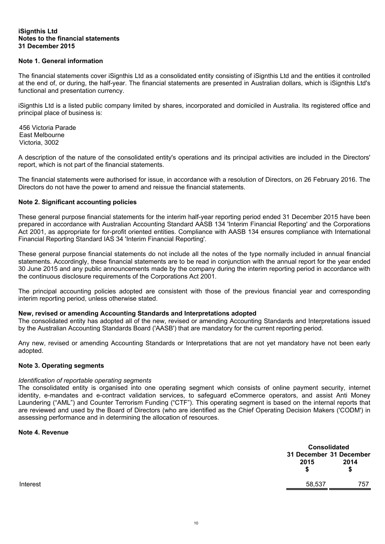#### **iSignthis Ltd Notes to the financial statements 31 December 2015**

# **Note 1. General information**

The financial statements cover iSignthis Ltd as a consolidated entity consisting of iSignthis Ltd and the entities it controlled at the end of, or during, the half-year. The financial statements are presented in Australian dollars, which is iSignthis Ltd's functional and presentation currency.

iSignthis Ltd is a listed public company limited by shares, incorporated and domiciled in Australia. Its registered office and principal place of business is:

456 Victoria Parade East Melbourne Victoria, 3002

A description of the nature of the consolidated entity's operations and its principal activities are included in the Directors' report, which is not part of the financial statements.

The financial statements were authorised for issue, in accordance with a resolution of Directors, on 26 February 2016. The Directors do not have the power to amend and reissue the financial statements.

# **Note 2. Significant accounting policies**

These general purpose financial statements for the interim half-year reporting period ended 31 December 2015 have been prepared in accordance with Australian Accounting Standard AASB 134 'Interim Financial Reporting' and the Corporations Act 2001, as appropriate for for-profit oriented entities. Compliance with AASB 134 ensures compliance with International Financial Reporting Standard IAS 34 'Interim Financial Reporting'.

These general purpose financial statements do not include all the notes of the type normally included in annual financial statements. Accordingly, these financial statements are to be read in conjunction with the annual report for the year ended 30 June 2015 and any public announcements made by the company during the interim reporting period in accordance with the continuous disclosure requirements of the Corporations Act 2001.

The principal accounting policies adopted are consistent with those of the previous financial year and corresponding interim reporting period, unless otherwise stated.

#### **New, revised or amending Accounting Standards and Interpretations adopted**

The consolidated entity has adopted all of the new, revised or amending Accounting Standards and Interpretations issued by the Australian Accounting Standards Board ('AASB') that are mandatory for the current reporting period.

Any new, revised or amending Accounting Standards or Interpretations that are not yet mandatory have not been early adopted.

#### **Note 3. Operating segments**

#### *Identification of reportable operating segments*

The consolidated entity is organised into one operating segment which consists of online payment security, internet identity, e-mandates and e-contract validation services, to safeguard eCommerce operators, and assist Anti Money Laundering ("AML") and Counter Terrorism Funding ("CTF"). This operating segment is based on the internal reports that are reviewed and used by the Board of Directors (who are identified as the Chief Operating Decision Makers ('CODM') in assessing performance and in determining the allocation of resources.

# **Note 4. Revenue**

|          |        | <b>Consolidated</b>             |
|----------|--------|---------------------------------|
|          | 2015   | 31 December 31 December<br>2014 |
|          |        | S                               |
| Interest | 58,537 | 757                             |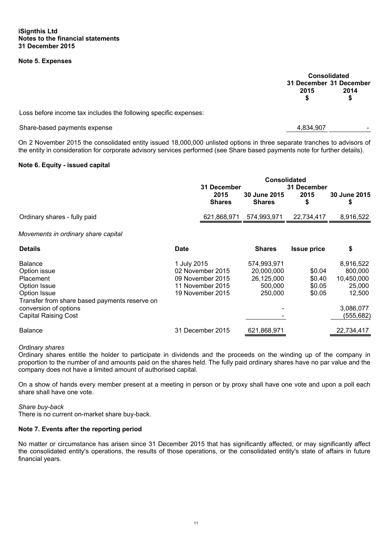# **Note 5. Expenses**

**Consolidated 31 December 31 December 2015 2014 \$ \$** 

Loss before income tax includes the following specific expenses:

Share-based payments expense 4,834,907

On 2 November 2015 the consolidated entity issued 18,000,000 unlisted options in three separate tranches to advisors of the entity in consideration for corporate advisory services performed (see Share based payments note for further details).

#### **Note 6. Equity - issued capital**

|                                                                                                                                                                                      |             | <b>Consolidated</b><br>31 December<br>31 December                            |                                                               |                                      |                                                                                  |
|--------------------------------------------------------------------------------------------------------------------------------------------------------------------------------------|-------------|------------------------------------------------------------------------------|---------------------------------------------------------------|--------------------------------------|----------------------------------------------------------------------------------|
|                                                                                                                                                                                      |             | 2015<br><b>Shares</b>                                                        | <b>30 June 2015</b><br><b>Shares</b>                          | 2015<br>\$                           | 30 June 2015<br>\$                                                               |
| Ordinary shares - fully paid                                                                                                                                                         |             | 621,868,971                                                                  | 574,993,971                                                   | 22,734,417                           | 8,916,522                                                                        |
| Movements in ordinary share capital                                                                                                                                                  |             |                                                                              |                                                               |                                      |                                                                                  |
| <b>Details</b>                                                                                                                                                                       | <b>Date</b> |                                                                              | <b>Shares</b>                                                 | <b>Issue price</b>                   | \$                                                                               |
| <b>Balance</b><br>Option issue<br>Placement<br>Option Issue<br>Option Issue<br>Transfer from share based payments reserve on<br>conversion of options<br><b>Capital Raising Cost</b> | 1 July 2015 | 02 November 2015<br>09 November 2015<br>11 November 2015<br>19 November 2015 | 574,993,971<br>20,000,000<br>26,125,000<br>500,000<br>250,000 | \$0.04<br>\$0.40<br>\$0.05<br>\$0.05 | 8,916,522<br>800,000<br>10,450,000<br>25,000<br>12,500<br>3,086,077<br>(555,682) |
| <b>Balance</b>                                                                                                                                                                       |             | 31 December 2015                                                             | 621,868,971                                                   |                                      | 22,734,417                                                                       |

#### *Ordinary shares*

Ordinary shares entitle the holder to participate in dividends and the proceeds on the winding up of the company in proportion to the number of and amounts paid on the shares held. The fully paid ordinary shares have no par value and the company does not have a limited amount of authorised capital.

On a show of hands every member present at a meeting in person or by proxy shall have one vote and upon a poll each share shall have one vote.

*Share buy-back* 

There is no current on-market share buy-back.

#### **Note 7. Events after the reporting period**

No matter or circumstance has arisen since 31 December 2015 that has significantly affected, or may significantly affect the consolidated entity's operations, the results of those operations, or the consolidated entity's state of affairs in future financial years.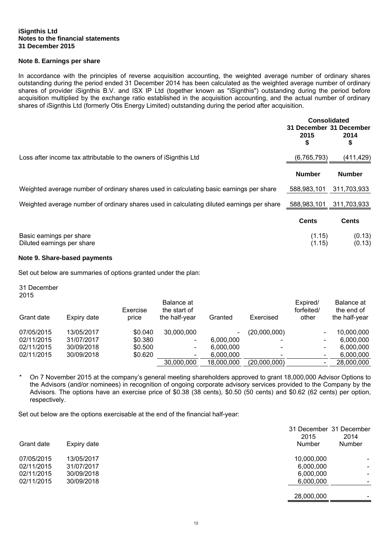#### **iSignthis Ltd Notes to the financial statements 31 December 2015**

# **Note 8. Earnings per share**

In accordance with the principles of reverse acquisition accounting, the weighted average number of ordinary shares outstanding during the period ended 31 December 2014 has been calculated as the weighted average number of ordinary shares of provider iSignthis B.V. and ISX IP Ltd (together known as "iSignthis") outstanding during the period before acquisition multiplied by the exchange ratio established in the acquisition accounting, and the actual number of ordinary shares of iSignthis Ltd (formerly Otis Energy Limited) outstanding during the period after acquisition.

|                                                                                           | <b>Consolidated</b><br>31 December 31 December<br>2015<br>\$ | 2014<br>\$       |
|-------------------------------------------------------------------------------------------|--------------------------------------------------------------|------------------|
| Loss after income tax attributable to the owners of iSignthis Ltd                         | (6, 765, 793)                                                | (411, 429)       |
|                                                                                           | <b>Number</b>                                                | <b>Number</b>    |
| Weighted average number of ordinary shares used in calculating basic earnings per share   | 588,983,101                                                  | 311,703,933      |
| Weighted average number of ordinary shares used in calculating diluted earnings per share | 588,983,101                                                  | 311,703,933      |
|                                                                                           | <b>Cents</b>                                                 | <b>Cents</b>     |
| Basic earnings per share<br>Diluted earnings per share                                    | (1.15)<br>(1.15)                                             | (0.13)<br>(0.13) |

#### **Note 9. Share-based payments**

Set out below are summaries of options granted under the plan:

31 December 2015

| Grant date | Expiry date | Exercise<br>price | Balance at<br>the start of<br>the half-year | Granted    | Exercised    | Expired/<br>forfeited/<br>other | Balance at<br>the end of<br>the half-year |
|------------|-------------|-------------------|---------------------------------------------|------------|--------------|---------------------------------|-------------------------------------------|
| 07/05/2015 | 13/05/2017  | \$0.040           | 30,000,000                                  |            | (20,000,000) |                                 | 10,000,000                                |
| 02/11/2015 | 31/07/2017  | \$0.380           | $\qquad \qquad \blacksquare$                | 6,000,000  |              |                                 | 6.000.000                                 |
| 02/11/2015 | 30/09/2018  | \$0.500           | $\overline{\phantom{a}}$                    | 6,000,000  |              |                                 | 6.000.000                                 |
| 02/11/2015 | 30/09/2018  | \$0.620           | $\overline{\phantom{a}}$                    | 6,000,000  |              |                                 | 6.000.000                                 |
|            |             |                   | 30,000,000                                  | 18,000,000 | (20,000,000) |                                 | 28,000,000                                |

\* On 7 November 2015 at the company's general meeting shareholders approved to grant 18,000,000 Advisor Options to the Advisors (and/or nominees) in recognition of ongoing corporate advisory services provided to the Company by the Advisors. The options have an exercise price of \$0.38 (38 cents), \$0.50 (50 cents) and \$0.62 (62 cents) per option, respectively.

Set out below are the options exercisable at the end of the financial half-year:

| Grant date | Expiry date | 31 December 31 December<br>2015<br>Number | 2014<br>Number           |
|------------|-------------|-------------------------------------------|--------------------------|
| 07/05/2015 | 13/05/2017  | 10,000,000                                | $\overline{\phantom{0}}$ |
| 02/11/2015 | 31/07/2017  | 6,000,000                                 |                          |
| 02/11/2015 | 30/09/2018  | 6,000,000                                 |                          |
| 02/11/2015 | 30/09/2018  | 6,000,000                                 |                          |
|            |             | 28,000,000                                |                          |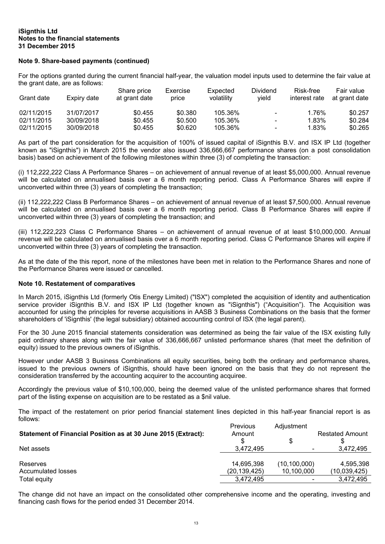#### **iSignthis Ltd Notes to the financial statements 31 December 2015**

# **Note 9. Share-based payments (continued)**

For the options granted during the current financial half-year, the valuation model inputs used to determine the fair value at the grant date, are as follows:

| Grant date | Expiry date | Share price<br>at grant date | Exercise<br>price | Expected<br>volatility | Dividend<br>vield        | Risk-free<br>interest rate | Fair value<br>at grant date |
|------------|-------------|------------------------------|-------------------|------------------------|--------------------------|----------------------------|-----------------------------|
| 02/11/2015 | 31/07/2017  | \$0.455                      | \$0.380           | 105.36%                | $\sim$                   | 1.76%                      | \$0.257                     |
| 02/11/2015 | 30/09/2018  | \$0.455                      | \$0.500           | 105.36%                | $\overline{\phantom{a}}$ | 1.83%                      | \$0.284                     |
| 02/11/2015 | 30/09/2018  | \$0.455                      | \$0.620           | 105.36%                | $\overline{\phantom{a}}$ | 1.83%                      | \$0.265                     |

As part of the part consideration for the acquisition of 100% of issued capital of iSignthis B.V. and ISX IP Ltd (together known as "iSignthis") in March 2015 the vendor also issued 336,666,667 performance shares (on a post consolidation basis) based on achievement of the following milestones within three (3) of completing the transaction:

(i) 112,222,222 Class A Performance Shares – on achievement of annual revenue of at least \$5,000,000. Annual revenue will be calculated on annualised basis over a 6 month reporting period. Class A Performance Shares will expire if unconverted within three (3) years of completing the transaction;

(ii) 112,222,222 Class B Performance Shares – on achievement of annual revenue of at least \$7,500,000. Annual revenue will be calculated on annualised basis over a 6 month reporting period. Class B Performance Shares will expire if unconverted within three (3) years of completing the transaction; and

(iii) 112,222,223 Class C Performance Shares – on achievement of annual revenue of at least \$10,000,000. Annual revenue will be calculated on annualised basis over a 6 month reporting period. Class C Performance Shares will expire if unconverted within three (3) years of completing the transaction.

As at the date of the this report, none of the milestones have been met in relation to the Performance Shares and none of the Performance Shares were issued or cancelled.

#### **Note 10. Restatement of comparatives**

In March 2015, iSignthis Ltd (formerly Otis Energy Limited) ("ISX") completed the acquisition of identity and authentication service provider iSignthis B.V. and ISX IP Ltd (together known as "iSignthis") ("Acquisition"). The Acquisition was accounted for using the principles for reverse acquisitions in AASB 3 Business Combinations on the basis that the former shareholders of 'iSignthis' (the legal subsidiary) obtained accounting control of ISX (the legal parent).

For the 30 June 2015 financial statements consideration was determined as being the fair value of the ISX existing fully paid ordinary shares along with the fair value of 336,666,667 unlisted performance shares (that meet the definition of equity) issued to the previous owners of iSignthis.

However under AASB 3 Business Combinations all equity securities, being both the ordinary and performance shares, issued to the previous owners of iSignthis, should have been ignored on the basis that they do not represent the consideration transferred by the accounting acquirer to the accounting acquiree.

Accordingly the previous value of \$10,100,000, being the deemed value of the unlisted performance shares that formed part of the listing expense on acquisition are to be restated as a \$nil value.

The impact of the restatement on prior period financial statement lines depicted in this half-year financial report is as follows:

| Statement of Financial Position as at 30 June 2015 (Extract):<br>Net assets | Previous<br>Amount<br>3.472.495 | Adjustment<br>$\overline{\phantom{a}}$ | <b>Restated Amount</b><br>3,472,495 |
|-----------------------------------------------------------------------------|---------------------------------|----------------------------------------|-------------------------------------|
| Reserves                                                                    | 14,695,398                      | (10, 100, 000)                         | 4,595,398                           |
| Accumulated losses                                                          | (20,139,425)                    | 10.100.000                             | (10,039,425)                        |
| Total equity                                                                | 3,472,495                       | $\overline{\phantom{0}}$               | 3.472.495                           |

The change did not have an impact on the consolidated other comprehensive income and the operating, investing and financing cash flows for the period ended 31 December 2014.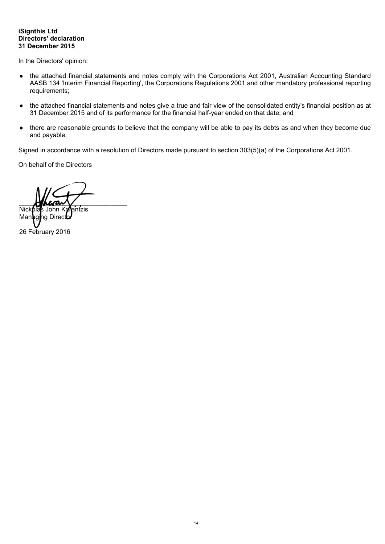# **iSignthis Ltd Directors' declaration 31 December 2015**

In the Directors' opinion:

- the attached financial statements and notes comply with the Corporations Act 2001, Australian Accounting Standard AASB 134 'Interim Financial Reporting', the Corporations Regulations 2001 and other mandatory professional reporting requirements;
- the attached financial statements and notes give a true and fair view of the consolidated entity's financial position as at 31 December 2015 and of its performance for the financial half-year ended on that date; and
- there are reasonable grounds to believe that the company will be able to pay its debts as and when they become due and payable.

Signed in accordance with a resolution of Directors made pursuant to section 303(5)(a) of the Corporations Act 2001.

On behalf of the Directors

 $M$ hara $\sqrt{}$ 

Nickolas John Kalentzis<br>Managing Director Direc 26 February 2016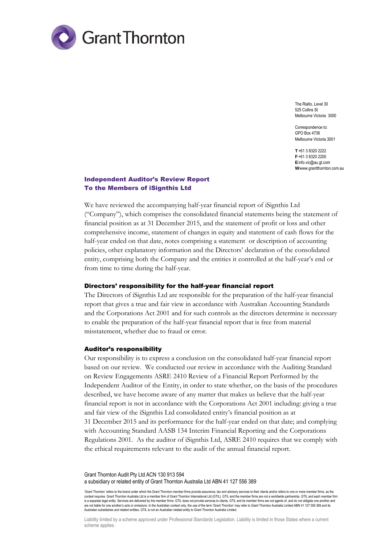

The Rialto, Level 30 525 Collins St Melbourne Victoria 3000

Correspondence to: GPO Box 4736 Melbourne Victoria 3001

**T** +61 3 8320 2222 **F** +61 3 8320 2200 **E** info.vic@au.gt.com **W** www.grantthornton.com.au

# Independent Auditor's Review Report To the Members of iSignthis Ltd

We have reviewed the accompanying half-year financial report of iSignthis Ltd ("Company"), which comprises the consolidated financial statements being the statement of financial position as at 31 December 2015, and the statement of profit or loss and other comprehensive income, statement of changes in equity and statement of cash flows for the half-year ended on that date, notes comprising a statement or description of accounting policies, other explanatory information and the Directors' declaration of the consolidated entity, comprising both the Company and the entities it controlled at the half-year's end or from time to time during the half-year.

#### Directors' responsibility for the half-year financial report

The Directors of iSignthis Ltd are responsible for the preparation of the half-year financial report that gives a true and fair view in accordance with Australian Accounting Standards and the Corporations Act 2001 and for such controls as the directors determine is necessary to enable the preparation of the half-year financial report that is free from material misstatement, whether due to fraud or error.

#### Auditor's responsibility

Our responsibility is to express a conclusion on the consolidated half-year financial report based on our review. We conducted our review in accordance with the Auditing Standard on Review Engagements ASRE 2410 Review of a Financial Report Performed by the Independent Auditor of the Entity, in order to state whether, on the basis of the procedures described, we have become aware of any matter that makes us believe that the half-year financial report is not in accordance with the Corporations Act 2001 including: giving a true and fair view of the iSignthis Ltd consolidated entity's financial position as at 31 December 2015 and its performance for the half-year ended on that date; and complying with Accounting Standard AASB 134 Interim Financial Reporting and the Corporations Regulations 2001. As the auditor of iSignthis Ltd, ASRE 2410 requires that we comply with the ethical requirements relevant to the audit of the annual financial report.

Grant Thornton Audit Pty Ltd ACN 130 913 594 a subsidiary or related entity of Grant Thornton Australia Ltd ABN 41 127 556 389

'Grant Thornton' refers to the brand under which the Grant Thornton member firms provide assurance, tax and advisory services to their clients and/or refers to one or more member firms, as the context requires. Grant Thornton Australia Ltd is a member firm of Grant Thornton International Ltd (GTIL). GTIL and the member firms are not a worldwide partnership. GTIL and each member firm is a separate legal entity. Services are delivered by the member firms. GTIL does not provide services to clients. GTIL and its member firms are not agents of, and do not obligate one another and are not liable for one another's acts or omissions. In the Australian context only, the use of the term 'Grant Thornton' may refer to Grant Thornton Australia Limited ABN 41 127 556 389 and its Australian subsidiaries and related entities. GTIL is not an Australian related entity to Grant Thornton Australia Limited.

Liability limited by a scheme approved under Professional Standards Legislation. Liability is limited in those States where a current scheme applies